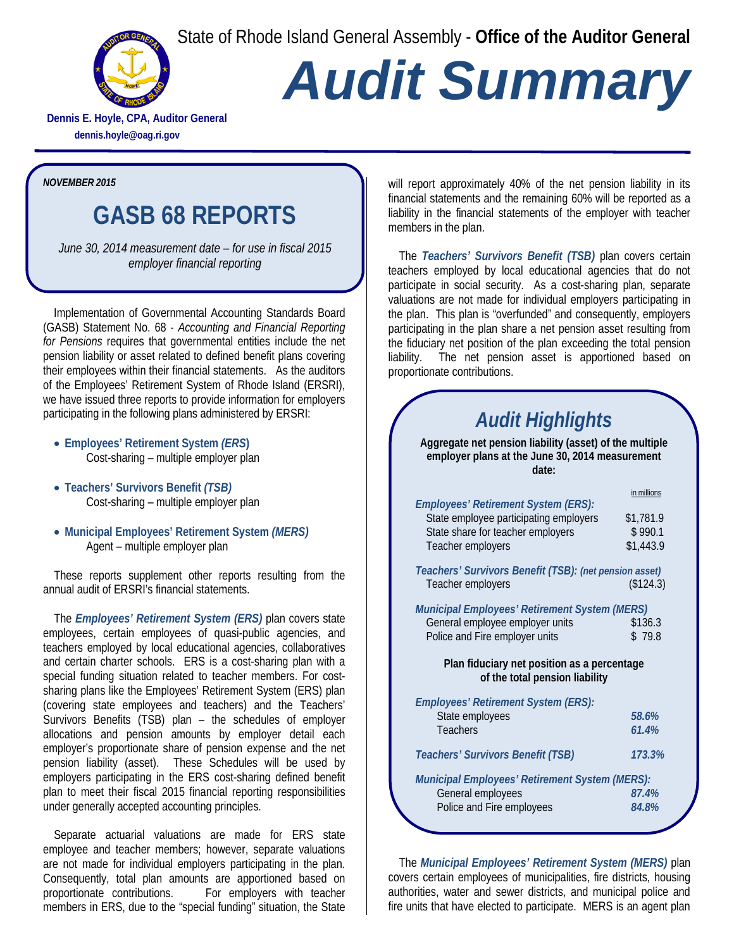State of Rhode Island General Assembly - **Office of the Auditor General**



## *Audit Summary*

**Dennis E. Hoyle, CPA, Auditor General dennis.hoyle@oag.ri.gov**

*NOVEMBER 2015*

## **GASB 68 REPORTS**

*June 30, 2014 measurement date – for use in fiscal 2015 employer financial reporting* 

Implementation of Governmental Accounting Standards Board (GASB) Statement No. 68 - *Accounting and Financial Reporting for Pensions* requires that governmental entities include the net pension liability or asset related to defined benefit plans covering their employees within their financial statements. As the auditors of the Employees' Retirement System of Rhode Island (ERSRI), we have issued three reports to provide information for employers participating in the following plans administered by ERSRI:

- **Employees' Retirement System** *(ERS***)** Cost-sharing – multiple employer plan
- **Teachers' Survivors Benefit** *(TSB)* Cost-sharing – multiple employer plan
- **Municipal Employees' Retirement System** *(MERS)* Agent – multiple employer plan

These reports supplement other reports resulting from the annual audit of ERSRI's financial statements.

The *Employees' Retirement System (ERS)* plan covers state employees, certain employees of quasi-public agencies, and teachers employed by local educational agencies, collaboratives and certain charter schools. ERS is a cost-sharing plan with a special funding situation related to teacher members. For costsharing plans like the Employees' Retirement System (ERS) plan (covering state employees and teachers) and the Teachers' Survivors Benefits (TSB) plan – the schedules of employer allocations and pension amounts by employer detail each employer's proportionate share of pension expense and the net pension liability (asset). These Schedules will be used by employers participating in the ERS cost-sharing defined benefit plan to meet their fiscal 2015 financial reporting responsibilities under generally accepted accounting principles.

Separate actuarial valuations are made for ERS state employee and teacher members; however, separate valuations are not made for individual employers participating in the plan. Consequently, total plan amounts are apportioned based on proportionate contributions. For employers with teacher proportionate contributions. members in ERS, due to the "special funding" situation, the State

will report approximately 40% of the net pension liability in its financial statements and the remaining 60% will be reported as a liability in the financial statements of the employer with teacher members in the plan.

The *Teachers' Survivors Benefit (TSB)* plan covers certain teachers employed by local educational agencies that do not participate in social security. As a cost-sharing plan, separate valuations are not made for individual employers participating in the plan. This plan is "overfunded" and consequently, employers participating in the plan share a net pension asset resulting from the fiduciary net position of the plan exceeding the total pension liability. The net pension asset is apportioned based on proportionate contributions.

## *Audit Highlights*

**Aggregate net pension liability (asset) of the multiple employer plans at the June 30, 2014 measurement date:**

|                                                                                                                                         | in millions                       |
|-----------------------------------------------------------------------------------------------------------------------------------------|-----------------------------------|
| Employees' Retirement System (ERS):<br>State employee participating employers<br>State share for teacher employers<br>Teacher employers | \$1,781.9<br>\$990.1<br>\$1,443.9 |
| Teachers' Survivors Benefit (TSB): (net pension asset)<br>Teacher employers                                                             | (\$124.3)                         |
| Municipal Employees' Retirement System (MERS)                                                                                           |                                   |
| General employee employer units                                                                                                         | \$136.3                           |
| Police and Fire employer units                                                                                                          | \$79.8                            |
|                                                                                                                                         |                                   |
| Plan fiduciary net position as a percentage<br>of the total pension liability                                                           |                                   |
|                                                                                                                                         |                                   |
|                                                                                                                                         |                                   |
| <b>Employees' Retirement System (ERS):</b>                                                                                              | 58.6%                             |
| State employees<br><b>Teachers</b>                                                                                                      | 61.4%                             |
|                                                                                                                                         |                                   |
| <b>Teachers' Survivors Benefit (TSB)</b>                                                                                                | 173.3%                            |
| <b>Municipal Employees' Retirement System (MERS):</b>                                                                                   |                                   |
| General employees                                                                                                                       | 87.4%                             |
| Police and Fire employees                                                                                                               | 84.8%                             |

The *Municipal Employees' Retirement System (MERS)* plan covers certain employees of municipalities, fire districts, housing authorities, water and sewer districts, and municipal police and fire units that have elected to participate. MERS is an agent plan